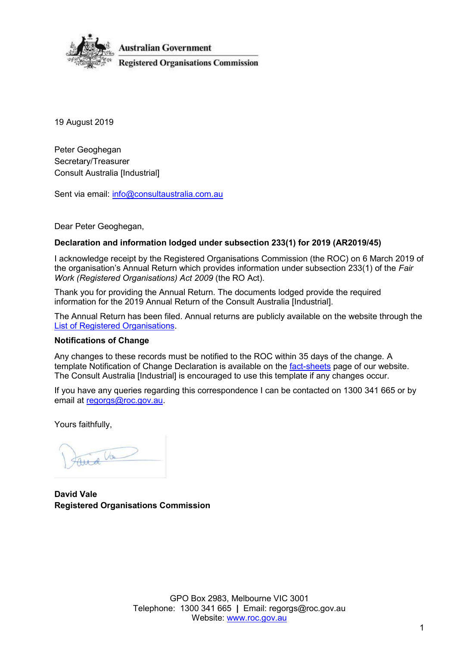

19 August 2019

Peter Geoghegan Secretary/Treasurer Consult Australia [Industrial]

Sent via email: [info@consultaustralia.com.au](mailto:info@consultaustralia.com.au)

Dear Peter Geoghegan,

## **Declaration and information lodged under subsection 233(1) for 2019 (AR2019/45)**

I acknowledge receipt by the Registered Organisations Commission (the ROC) on 6 March 2019 of the organisation's Annual Return which provides information under subsection 233(1) of the *Fair Work (Registered Organisations) Act 2009* (the RO Act).

Thank you for providing the Annual Return. The documents lodged provide the required information for the 2019 Annual Return of the Consult Australia [Industrial].

The Annual Return has been filed. Annual returns are publicly available on the website through the [List of Registered Organisations.](https://www.roc.gov.au/find-a-registered-organisation)

## **Notifications of Change**

Any changes to these records must be notified to the ROC within 35 days of the change. A template Notification of Change Declaration is available on the [fact-sheets](https://www.roc.gov.au/resources-and-decisions/fact-sheets-templates-and-webinars) page of our website. The Consult Australia [Industrial] is encouraged to use this template if any changes occur.

If you have any queries regarding this correspondence I can be contacted on 1300 341 665 or by email at [regorgs@roc.gov.au.](mailto:regorgs@roc.gov.au)

Yours faithfully,

 $U_{\text{C}}$ 

**David Vale Registered Organisations Commission**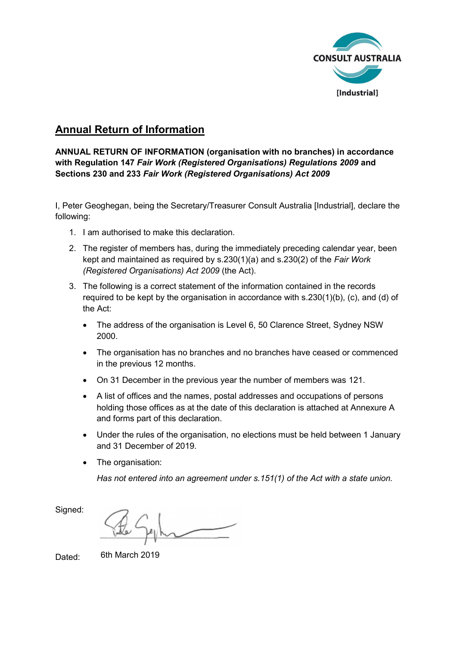

## **Annual Return of Information**

**ANNUAL RETURN OF INFORMATION (organisation with no branches) in accordance with Regulation 147** *Fair Work (Registered Organisations) Regulations 2009* **and Sections 230 and 233** *Fair Work (Registered Organisations) Act 2009*

I, Peter Geoghegan, being the Secretary/Treasurer Consult Australia [Industrial], declare the following:

- 1. I am authorised to make this declaration.
- 2. The register of members has, during the immediately preceding calendar year, been kept and maintained as required by s.230(1)(a) and s.230(2) of the *Fair Work (Registered Organisations) Act 2009* (the Act).
- 3. The following is a correct statement of the information contained in the records required to be kept by the organisation in accordance with s.230(1)(b), (c), and (d) of the Act:
	- The address of the organisation is Level 6, 50 Clarence Street, Sydney NSW 2000.
	- The organisation has no branches and no branches have ceased or commenced in the previous 12 months.
	- On 31 December in the previous year the number of members was 121.
	- A list of offices and the names, postal addresses and occupations of persons holding those offices as at the date of this declaration is attached at Annexure A and forms part of this declaration.
	- Under the rules of the organisation, no elections must be held between 1 January and 31 December of 2019.
	- The organisation:

*Has not entered into an agreement under s.151(1) of the Act with a state union.*

Signed:

Dated: 6th March 2019